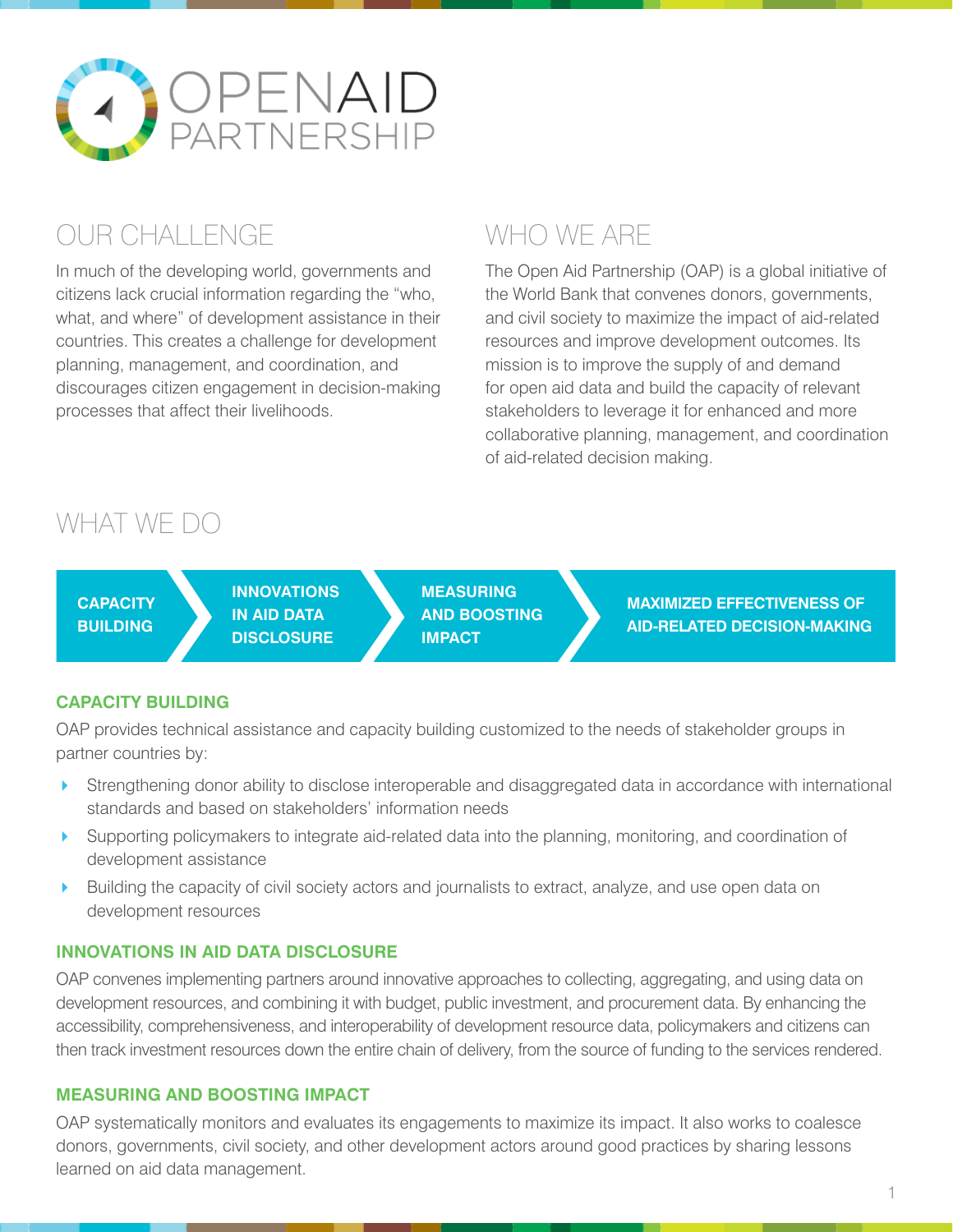

# OUR CHALLENGE

In much of the developing world, governments and citizens lack crucial information regarding the "who, what, and where" of development assistance in their countries. This creates a challenge for development planning, management, and coordination, and discourages citizen engagement in decision-making processes that affect their livelihoods.

# WHO WE ARE

The Open Aid Partnership (OAP) is a global initiative of the World Bank that convenes donors, governments, and civil society to maximize the impact of aid-related resources and improve development outcomes. Its mission is to improve the supply of and demand for open aid data and build the capacity of relevant stakeholders to leverage it for enhanced and more collaborative planning, management, and coordination of aid-related decision making.

### WHAT WE DO

| <b>CAPACITY</b><br><b>BUILDING</b> | <b>INNOVATIONS</b><br>IN AID DATA<br><b>DISCLOSURE</b> | <b>MEASURING</b><br><b>AND BOOSTING</b><br><b>IMPACT</b> | <b>MAXIMIZED EFFECTIVENESS OF</b><br><b>AID-RELATED DECISION-MAKING</b> |
|------------------------------------|--------------------------------------------------------|----------------------------------------------------------|-------------------------------------------------------------------------|
|------------------------------------|--------------------------------------------------------|----------------------------------------------------------|-------------------------------------------------------------------------|

### **CAPACITY BUILDING**

OAP provides technical assistance and capacity building customized to the needs of stakeholder groups in partner countries by:

- Strengthening donor ability to disclose interoperable and disaggregated data in accordance with international standards and based on stakeholders' information needs
- Supporting policymakers to integrate aid-related data into the planning, monitoring, and coordination of development assistance
- Building the capacity of civil society actors and journalists to extract, analyze, and use open data on development resources

### **INNOVATIONS IN AID DATA DISCLOSURE**

OAP convenes implementing partners around innovative approaches to collecting, aggregating, and using data on development resources, and combining it with budget, public investment, and procurement data. By enhancing the accessibility, comprehensiveness, and interoperability of development resource data, policymakers and citizens can then track investment resources down the entire chain of delivery, from the source of funding to the services rendered.

#### **MEASURING AND BOOSTING IMPACT**

OAP systematically monitors and evaluates its engagements to maximize its impact. It also works to coalesce donors, governments, civil society, and other development actors around good practices by sharing lessons learned on aid data management.